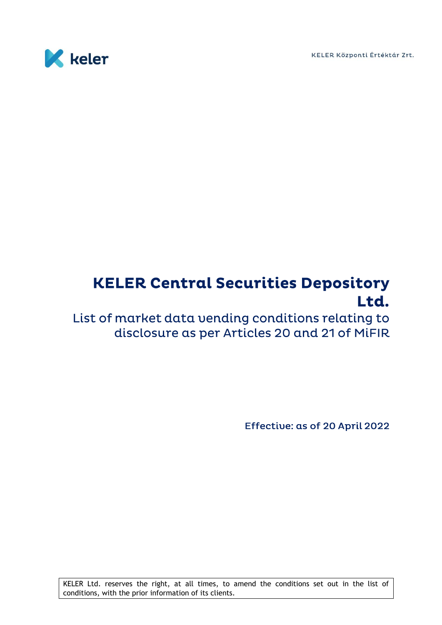KELER Központi Értéktár Zrt.



## **KELER Central Securities Depository** Ltd.

List of market data vending conditions relating to disclosure as per Articles 20 and 21 of MiFIR

Effective: as of 20 April 2022

KELER Ltd. reserves the right, at all times, to amend the conditions set out in the list of conditions, with the prior information of its clients.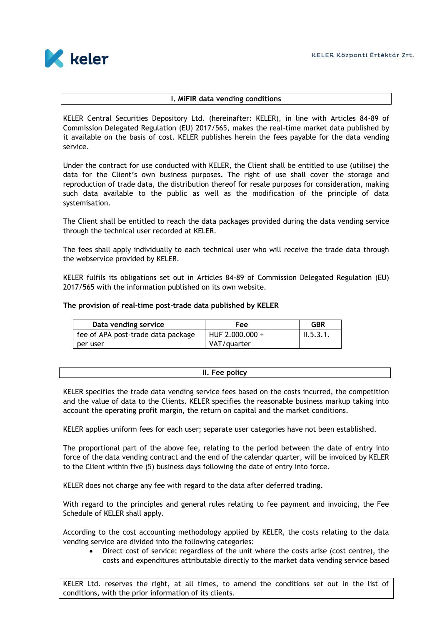

## **I. MiFIR data vending conditions**

KELER Central Securities Depository Ltd. (hereinafter: KELER), in line with Articles 84-89 of Commission Delegated Regulation (EU) 2017/565, makes the real-time market data published by it available on the basis of cost. KELER publishes herein the fees payable for the data vending service.

Under the contract for use conducted with KELER, the Client shall be entitled to use (utilise) the data for the Client's own business purposes. The right of use shall cover the storage and reproduction of trade data, the distribution thereof for resale purposes for consideration, making such data available to the public as well as the modification of the principle of data systemisation.

The Client shall be entitled to reach the data packages provided during the data vending service through the technical user recorded at KELER.

The fees shall apply individually to each technical user who will receive the trade data through the webservice provided by KELER.

KELER fulfils its obligations set out in Articles 84-89 of Commission Delegated Regulation (EU) 2017/565 with the information published on its own website.

## **The provision of real-time post-trade data published by KELER**

| Data vending service               | <b>Fee</b>      | <b>GBR</b>            |
|------------------------------------|-----------------|-----------------------|
| fee of APA post-trade data package | HUF 2.000.000 + | $\parallel$ 11.5.3.1. |
| per user                           | VAT/quarter     |                       |

## **II. Fee policy**

KELER specifies the trade data vending service fees based on the costs incurred, the competition and the value of data to the Clients. KELER specifies the reasonable business markup taking into account the operating profit margin, the return on capital and the market conditions.

KELER applies uniform fees for each user; separate user categories have not been established.

The proportional part of the above fee, relating to the period between the date of entry into force of the data vending contract and the end of the calendar quarter, will be invoiced by KELER to the Client within five (5) business days following the date of entry into force.

KELER does not charge any fee with regard to the data after deferred trading.

With regard to the principles and general rules relating to fee payment and invoicing, the Fee Schedule of KELER shall apply.

According to the cost accounting methodology applied by KELER, the costs relating to the data vending service are divided into the following categories:

 Direct cost of service: regardless of the unit where the costs arise (cost centre), the costs and expenditures attributable directly to the market data vending service based

KELER Ltd. reserves the right, at all times, to amend the conditions set out in the list of conditions, with the prior information of its clients.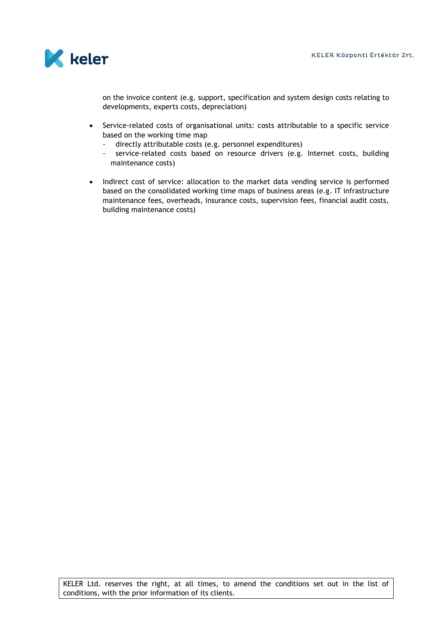

on the invoice content (e.g. support, specification and system design costs relating to developments, experts costs, depreciation)

- Service-related costs of organisational units: costs attributable to a specific service based on the working time map
	- directly attributable costs (e.g. personnel expenditures)
	- service-related costs based on resource drivers (e.g. Internet costs, building maintenance costs)
- Indirect cost of service: allocation to the market data vending service is performed based on the consolidated working time maps of business areas (e.g. IT infrastructure maintenance fees, overheads, insurance costs, supervision fees, financial audit costs, building maintenance costs)